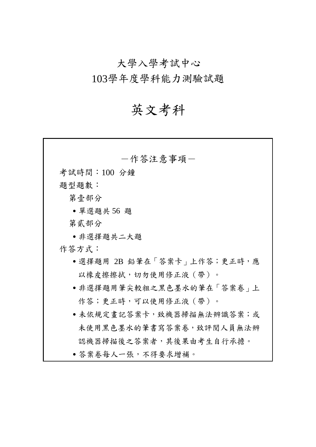大學入學考試中心

103學年度學科能力測驗試題

# 英文考科

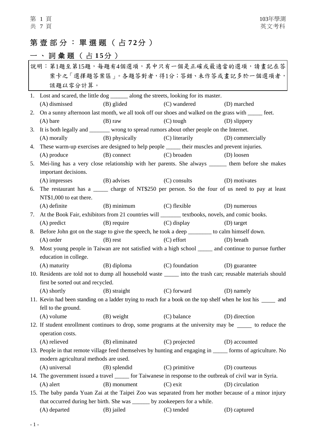## 第壹部分:單選題(占 **7 2**分 )

# 一、詞彙題(占15分)

| 說明:第1題至第15題,每題有4個選項,其中只有一個是正確或最適當的選項,請畫記在答 |                                                                                                                                 |                               |                          |                                                                                                                  |  |  |  |
|--------------------------------------------|---------------------------------------------------------------------------------------------------------------------------------|-------------------------------|--------------------------|------------------------------------------------------------------------------------------------------------------|--|--|--|
| 案卡之「選擇題答案區」。各題答對者,得1分;答錯、未作答或畫記多於一個選項者,    |                                                                                                                                 |                               |                          |                                                                                                                  |  |  |  |
|                                            | 該題以零分計算。                                                                                                                        |                               |                          |                                                                                                                  |  |  |  |
|                                            | 1. Lost and scared, the little dog ________ along the streets, looking for its master.                                          |                               |                          |                                                                                                                  |  |  |  |
|                                            | (A) dismissed                                                                                                                   | (B) glided                    | (C) wandered             | (D) marched                                                                                                      |  |  |  |
| 2.                                         | On a sunny afternoon last month, we all took off our shoes and walked on the grass with ______ feet.                            |                               |                          |                                                                                                                  |  |  |  |
|                                            | $(A)$ bare                                                                                                                      | $(B)$ raw                     | $(C)$ tough              | (D) slippery                                                                                                     |  |  |  |
| 3.                                         | It is both legally and _______ wrong to spread rumors about other people on the Internet.                                       |                               |                          |                                                                                                                  |  |  |  |
|                                            | $(A)$ morally                                                                                                                   | (B) physically (C) literarily |                          | (D) commercially                                                                                                 |  |  |  |
| 4.                                         | These warm-up exercises are designed to help people ______ their muscles and prevent injuries.                                  |                               |                          |                                                                                                                  |  |  |  |
|                                            | $(A)$ produce                                                                                                                   | (B) connect                   | (C) broaden              | (D) loosen                                                                                                       |  |  |  |
| 5.                                         |                                                                                                                                 |                               |                          | Mei-ling has a very close relationship with her parents. She always _______ them before she makes                |  |  |  |
|                                            | important decisions.                                                                                                            |                               |                          |                                                                                                                  |  |  |  |
|                                            | $(A)$ impresses                                                                                                                 | (B) advises                   | (C) consults             | (D) motivates                                                                                                    |  |  |  |
| 6.                                         |                                                                                                                                 |                               |                          | The restaurant has a ______ charge of NT\$250 per person. So the four of us need to pay at least                 |  |  |  |
|                                            | NT\$1,000 to eat there.                                                                                                         |                               |                          |                                                                                                                  |  |  |  |
|                                            | $(A)$ definite                                                                                                                  | $(B)$ minimum                 | (C) flexible             | (D) numerous                                                                                                     |  |  |  |
| 7.                                         | At the Book Fair, exhibitors from 21 countries will ________ textbooks, novels, and comic books.                                |                               |                          |                                                                                                                  |  |  |  |
|                                            | $(A)$ predict                                                                                                                   | (B) require (C) display       |                          | (D) target                                                                                                       |  |  |  |
| 8.                                         | Before John got on the stage to give the speech, he took a deep ________ to calm himself down.                                  |                               |                          |                                                                                                                  |  |  |  |
|                                            | $(A)$ order                                                                                                                     | (B) rest                      | $(C)$ effort             | (D) breath                                                                                                       |  |  |  |
| 9.                                         | Most young people in Taiwan are not satisfied with a high school ______ and continue to pursue further<br>education in college. |                               |                          |                                                                                                                  |  |  |  |
|                                            | (A) maturity (B) diploma (C) foundation                                                                                         |                               |                          | (D) guarantee                                                                                                    |  |  |  |
|                                            |                                                                                                                                 |                               |                          | 10. Residents are told not to dump all household waste _______ into the trash can; reusable materials should     |  |  |  |
|                                            | first be sorted out and recycled.                                                                                               |                               |                          |                                                                                                                  |  |  |  |
|                                            | $(A)$ shortly                                                                                                                   |                               | (B) straight (C) forward | (D) namely                                                                                                       |  |  |  |
|                                            |                                                                                                                                 |                               |                          | 11. Kevin had been standing on a ladder trying to reach for a book on the top shelf when he lost his _______ and |  |  |  |
|                                            | fell to the ground.                                                                                                             |                               |                          |                                                                                                                  |  |  |  |
|                                            | $(A)$ volume                                                                                                                    | (B) weight                    | (C) balance              | (D) direction                                                                                                    |  |  |  |
|                                            |                                                                                                                                 |                               |                          | 12. If student enrollment continues to drop, some programs at the university may be ______ to reduce the         |  |  |  |
|                                            | operation costs.                                                                                                                |                               |                          |                                                                                                                  |  |  |  |
|                                            | (A) relieved                                                                                                                    | (B) eliminated                | (C) projected            | (D) accounted                                                                                                    |  |  |  |
|                                            |                                                                                                                                 |                               |                          | 13. People in that remote village feed themselves by hunting and engaging in _____ forms of agriculture. No      |  |  |  |
|                                            | modern agricultural methods are used.                                                                                           |                               |                          |                                                                                                                  |  |  |  |
|                                            | (A) universal                                                                                                                   | (B) splendid                  | $(C)$ primitive          | (D) courteous                                                                                                    |  |  |  |
|                                            | 14. The government issued a travel ______ for Taiwanese in response to the outbreak of civil war in Syria.                      |                               |                          |                                                                                                                  |  |  |  |
|                                            | $(A)$ alert                                                                                                                     | (B) monument                  | $(C)$ exit               | (D) circulation                                                                                                  |  |  |  |
|                                            |                                                                                                                                 |                               |                          | 15. The baby panda Yuan Zai at the Taipei Zoo was separated from her mother because of a minor injury            |  |  |  |
|                                            | that occurred during her birth. She was _______ by zookeepers for a while.                                                      |                               |                          |                                                                                                                  |  |  |  |
|                                            | (A) departed                                                                                                                    | (B) jailed                    | (C) tended               | (D) captured                                                                                                     |  |  |  |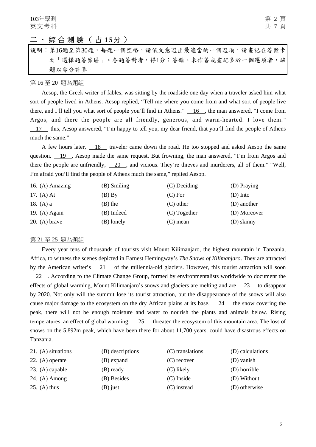## 二、綜合測驗(占 15分)

說明︰第16題至第30題,每題一個空格,請依文意選出最適當的一個選項,請畫記在答案卡 之「選擇題答案區」。各題答對者,得1分;答錯、未作答或畫記多於一個選項者,該 題以零分計算。

#### 第 16 至 20 題為題組

Aesop, the Greek writer of fables, was sitting by the roadside one day when a traveler asked him what sort of people lived in Athens. Aesop replied, "Tell me where you come from and what sort of people live there, and I'll tell you what sort of people you'll find in Athens."  $\_\_16$ , the man answered, "I come from Argos, and there the people are all friendly, generous, and warm-hearted. I love them." 17 this, Aesop answered, "I'm happy to tell you, my dear friend, that you'll find the people of Athens

much the same."

A few hours later, 18 traveler came down the road. He too stopped and asked Aesop the same question. 19 , Aesop made the same request. But frowning, the man answered, "I'm from Argos and there the people are unfriendly, 20 , and vicious. They're thieves and murderers, all of them." "Well, I'm afraid you'll find the people of Athens much the same," replied Aesop.

| 16. $(A)$ Amazing | (B) Smiling | (C) Deciding   | (D) Praying  |
|-------------------|-------------|----------------|--------------|
| 17. $(A)$ At      | $(B)$ By    | (C) For        | (D) Into     |
| 18. $(A)$ a       | (B) the     | $(C)$ other    | (D) another  |
| 19. $(A)$ Again   | (B) Indeed  | $(C)$ Together | (D) Moreover |
| 20. (A) brave     | (B) lonely  | $(C)$ mean     | (D) skinny   |

#### 第 21 至 25 題為題組

Every year tens of thousands of tourists visit Mount Kilimanjaro, the highest mountain in Tanzania, Africa, to witness the scenes depicted in Earnest Hemingway's *The Snows of Kilimanjaro*. They are attracted by the American writer's 21 of the millennia-old glaciers. However, this tourist attraction will soon 22 . According to the Climate Change Group, formed by environmentalists worldwide to document the effects of global warming, Mount Kilimanjaro's snows and glaciers are melting and are 23 to disappear by 2020. Not only will the summit lose its tourist attraction, but the disappearance of the snows will also cause major damage to the ecosystem on the dry African plains at its base. 24 the snow covering the peak, there will not be enough moisture and water to nourish the plants and animals below. Rising temperatures, an effect of global warming, 25 threaten the ecosystem of this mountain area. The loss of snows on the 5,892m peak, which have been there for about 11,700 years, could have disastrous effects on Tanzania.

| 21. (A) situations | (B) descriptions | (C) translations | (D) calculations |
|--------------------|------------------|------------------|------------------|
| 22. $(A)$ operate  | (B) expand       | $(C)$ recover    | (D) vanish       |
| 23. $(A)$ capable  | (B) ready        | $(C)$ likely     | (D) horrible     |
| 24. $(A)$ Among    | (B) Besides      | $(C)$ Inside     | (D) Without      |
| 25. (A) thus       | (B) just         | (C) instead      | (D) otherwise    |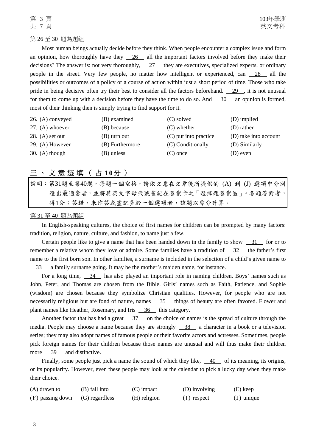## 第 26 至 30 題為題組

Most human beings actually decide before they think. When people encounter a complex issue and form an opinion, how thoroughly have they  $\frac{26}{10}$  all the important factors involved before they make their decisions? The answer is: not very thoroughly,  $\overline{27}$  they are executives, specialized experts, or ordinary people in the street. Very few people, no matter how intelligent or experienced, can 28 all the possibilities or outcomes of a policy or a course of action within just a short period of time. Those who take pride in being decisive often try their best to consider all the factors beforehand. 29 , it is not unusual for them to come up with a decision before they have the time to do so. And 30 an opinion is formed, most of their thinking then is simply trying to find support for it.

| 26. (A) conveyed  | (B) examined    | (C) solved            | (D) implied           |
|-------------------|-----------------|-----------------------|-----------------------|
| 27. $(A)$ whoever | (B) because     | $(C)$ whether         | (D) rather            |
| $28. (A)$ set out | (B) turn out    | (C) put into practice | (D) take into account |
| 29. $(A)$ However | (B) Furthermore | (C) Conditionally     | (D) Similarly         |
| 30. (A) though    | (B) unless      | $(C)$ once            | (D) even              |

## 三、文意選填(占 10分)

說明:第31題至第40題,每題一個空格,請依文意在文章後所提供的 (A) 到 (J) 選項中分別 選出最適當者,並將其英文字母代號畫記在答案卡之「選擇題答案區」。各題答對者, 得1分;答錯、未作答或畫記多於一個選項者,該題以零分計算。

#### 第 31 至 40 題為題組

In English-speaking cultures, the choice of first names for children can be prompted by many factors: tradition, religion, nature, culture, and fashion, to name just a few.

Certain people like to give a name that has been handed down in the family to show 31 for or to remember a relative whom they love or admire. Some families have a tradition of 32 the father's first name to the first born son. In other families, a surname is included in the selection of a child's given name to 33 a family surname going. It may be the mother's maiden name, for instance.

For a long time, 34 has also played an important role in naming children. Boys' names such as John, Peter, and Thomas are chosen from the Bible. Girls' names such as Faith, Patience, and Sophie (wisdom) are chosen because they symbolize Christian qualities. However, for people who are not necessarily religious but are fond of nature, names 35 things of beauty are often favored. Flower and plant names like Heather, Rosemary, and Iris 36 this category.

Another factor that has had a great 37 on the choice of names is the spread of culture through the media. People may choose a name because they are strongly 38 a character in a book or a television series; they may also adopt names of famous people or their favorite actors and actresses. Sometimes, people pick foreign names for their children because those names are unusual and will thus make their children more 39 and distinctive.

Finally, some people just pick a name the sound of which they like,  $\frac{40}{10}$  of its meaning, its origins, or its popularity. However, even these people may look at the calendar to pick a lucky day when they make their choice.

| $(A)$ drawn to   | (B) fall into  | $(C)$ impact | (D) involving | (E) keep     |
|------------------|----------------|--------------|---------------|--------------|
| (F) passing down | (G) regardless | (H) religion | $(1)$ respect | $(J)$ unique |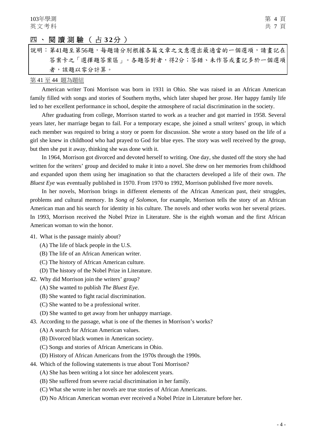## 四、閱讀測驗(占 **3 2** 分 )

| 說明:第41題至第56題,每題請分別根據各篇文章之文意選出最適當的一個選項,請畫記在 |  |  |  |  |  |
|--------------------------------------------|--|--|--|--|--|
| 答案卡之「選擇題答案區」。各題答對者,得2分;答錯、未作答或畫記多於一個選項     |  |  |  |  |  |
| 者,該題以零分計算。                                 |  |  |  |  |  |

#### 第 41 至 44 題為題組

American writer Toni Morrison was born in 1931 in Ohio. She was raised in an African American family filled with songs and stories of Southern myths, which later shaped her prose. Her happy family life led to her excellent performance in school, despite the atmosphere of racial discrimination in the society.

After graduating from college, Morrison started to work as a teacher and got married in 1958. Several years later, her marriage began to fail. For a temporary escape, she joined a small writers' group, in which each member was required to bring a story or poem for discussion. She wrote a story based on the life of a girl she knew in childhood who had prayed to God for blue eyes. The story was well received by the group, but then she put it away, thinking she was done with it.

In 1964, Morrison got divorced and devoted herself to writing. One day, she dusted off the story she had written for the writers' group and decided to make it into a novel. She drew on her memories from childhood and expanded upon them using her imagination so that the characters developed a life of their own. *The Bluest Eye* was eventually published in 1970. From 1970 to 1992, Morrison published five more novels.

In her novels, Morrison brings in different elements of the African American past, their struggles, problems and cultural memory. In *Song of Solomon*, for example, Morrison tells the story of an African American man and his search for identity in his culture. The novels and other works won her several prizes. In 1993, Morrison received the Nobel Prize in Literature. She is the eighth woman and the first African American woman to win the honor.

- 41. What is the passage mainly about?
	- (A) The life of black people in the U.S.
	- (B) The life of an African American writer.
	- (C) The history of African American culture.
	- (D) The history of the Nobel Prize in Literature.
- 42. Why did Morrison join the writers' group?
	- (A) She wanted to publish *The Bluest Eye*.
	- (B) She wanted to fight racial discrimination.
	- (C) She wanted to be a professional writer.
	- (D) She wanted to get away from her unhappy marriage.
- 43. According to the passage, what is one of the themes in Morrison's works?
	- (A) A search for African American values.
	- (B) Divorced black women in American society.
	- (C) Songs and stories of African Americans in Ohio.
	- (D) History of African Americans from the 1970s through the 1990s.
- 44. Which of the following statements is true about Toni Morrison?
	- (A) She has been writing a lot since her adolescent years.
	- (B) She suffered from severe racial discrimination in her family.
	- (C) What she wrote in her novels are true stories of African Americans.
	- (D) No African American woman ever received a Nobel Prize in Literature before her.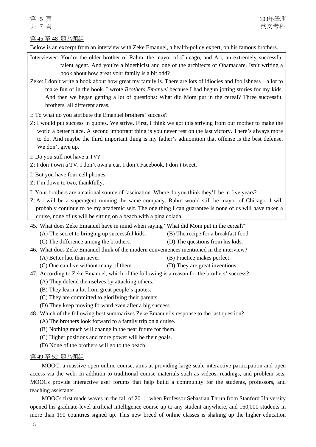### Below is an excerpt from an interview with Zeke Emanuel, a health-policy expert, on his famous brothers.

- Interviewer: You're the older brother of Rahm, the mayor of Chicago, and Ari, an extremely successful talent agent. And you're a bioethicist and one of the architects of Obamacare. Isn't writing a book about how great your family is a bit odd?
- Zeke: I don't write a book about how great my family is. There are lots of idiocies and foolishness—a lot to make fun of in the book. I wrote *Brothers Emanuel* because I had begun jotting stories for my kids. And then we began getting a lot of questions: What did Mom put in the cereal? Three successful brothers, all different areas.
- I: To what do you attribute the Emanuel brothers' success?
- Z: I would put success in quotes. We strive. First, I think we got this striving from our mother to make the world a better place. A second important thing is you never rest on the last victory. There's always more to do. And maybe the third important thing is my father's admonition that offense is the best defense. We don't give up.
- I: Do you still not have a TV?
- Z: I don't own a TV. I don't own a car. I don't Facebook. I don't tweet.
- I: But you have four cell phones.
- Z: I'm down to two, thankfully.
- I: Your brothers are a national source of fascination. Where do you think they'll be in five years?
- Z: Ari will be a superagent running the same company. Rahm would still be mayor of Chicago. I will probably continue to be my academic self. The one thing I can guarantee is none of us will have taken a cruise, none of us will be sitting on a beach with a pina colada.

45. What does Zeke Emanuel have in mind when saying "What did Mom put in the cereal?"

- (A) The secret to bringing up successful kids. (B) The recipe for a breakfast food.
	-
- (C) The difference among the brothers. (D) The questions from his kids.
- 
- 46. What does Zeke Emanuel think of the modern conveniences mentioned in the interview?
	- (A) Better late than never. (B) Practice makes perfect.
	- (C) One can live without many of them. (D) They are great inventions.
- 47. According to Zeke Emanuel, which of the following is a reason for the brothers' success?
	- (A) They defend themselves by attacking others.
	- (B) They learn a lot from great people's quotes.
	- (C) They are committed to glorifying their parents.
	- (D) They keep moving forward even after a big success.
- 48. Which of the following best summarizes Zeke Emanuel's response to the last question?
	- (A) The brothers look forward to a family trip on a cruise.
	- (B) Nothing much will change in the near future for them.
	- (C) Higher positions and more power will be their goals.
	- (D) None of the brothers will go to the beach.

#### 第 49 至 52 題為題組

MOOC, a massive open online course, aims at providing large-scale interactive participation and open access via the web. In addition to traditional course materials such as videos, readings, and problem sets, MOOCs provide interactive user forums that help build a community for the students, professors, and teaching assistants.

MOOCs first made waves in the fall of 2011, when Professor Sebastian Thrun from Stanford University opened his graduate-level artificial intelligence course up to any student anywhere, and 160,000 students in more than 190 countries signed up. This new breed of online classes is shaking up the higher education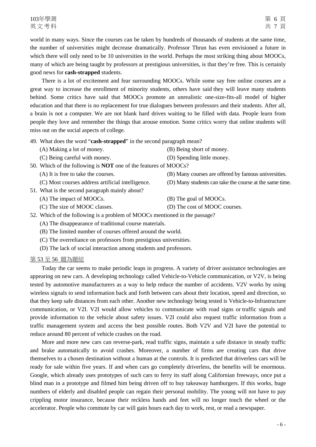world in many ways. Since the courses can be taken by hundreds of thousands of students at the same time, the number of universities might decrease dramatically. Professor Thrun has even envisioned a future in which there will only need to be 10 universities in the world. Perhaps the most striking thing about MOOCs, many of which are being taught by professors at prestigious universities, is that they're free. This is certainly good news for **cash-strapped** students.

There is a lot of excitement and fear surrounding MOOCs. While some say free online courses are a great way to increase the enrollment of minority students, others have said they will leave many students behind. Some critics have said that MOOCs promote an unrealistic one-size-fits-all model of higher education and that there is no replacement for true dialogues between professors and their students. After all, a brain is not a computer. We are not blank hard drives waiting to be filled with data. People learn from people they love and remember the things that arouse emotion. Some critics worry that online students will miss out on the social aspects of college.

49. What does the word "**cash-strapped**" in the second paragraph mean?

- (A) Making a lot of money. (B) Being short of money.
- 
- (C) Being careful with money. (D) Spending little money.

50. Which of the following is **NOT** one of the features of MOOCs?

- -
- 51. What is the second paragraph mainly about?
	- (A) The impact of MOOCs. (B) The goal of MOOCs.
	-

- (A) It is free to take the courses. (B) Many courses are offered by famous universities.
- (C) Most courses address artificial intelligence. (D) Many students can take the course at the same time.
	-
- (C) The size of MOOC classes. (D) The cost of MOOC courses.
- 52. Which of the following is a problem of MOOCs mentioned in the passage?
	- (A) The disappearance of traditional course materials.
	- (B) The limited number of courses offered around the world.
	- (C) The overreliance on professors from prestigious universities.
	- (D) The lack of social interaction among students and professors.

#### 第 53 至 56 題為題組

Today the car seems to make periodic leaps in progress. A variety of driver assistance technologies are appearing on new cars. A developing technology called Vehicle-to-Vehicle communication, or V2V, is being tested by automotive manufacturers as a way to help reduce the number of accidents. V2V works by using wireless signals to send information back and forth between cars about their location, speed and direction, so that they keep safe distances from each other. Another new technology being tested is Vehicle-to-Infrastructure communication, or V2I. V2I would allow vehicles to communicate with road signs or traffic signals and provide information to the vehicle about safety issues. V2I could also request traffic information from a traffic management system and access the best possible routes. Both V2V and V2I have the potential to reduce around 80 percent of vehicle crashes on the road.

More and more new cars can reverse-park, read traffic signs, maintain a safe distance in steady traffic and brake automatically to avoid crashes. Moreover, a number of firms are creating cars that drive themselves to a chosen destination without a human at the controls. It is predicted that driverless cars will be ready for sale within five years. If and when cars go completely driverless, the benefits will be enormous. Google, which already uses prototypes of such cars to ferry its staff along Californian freeways, once put a blind man in a prototype and filmed him being driven off to buy takeaway hamburgers. If this works, huge numbers of elderly and disabled people can regain their personal mobility. The young will not have to pay crippling motor insurance, because their reckless hands and feet will no longer touch the wheel or the accelerator. People who commute by car will gain hours each day to work, rest, or read a newspaper.